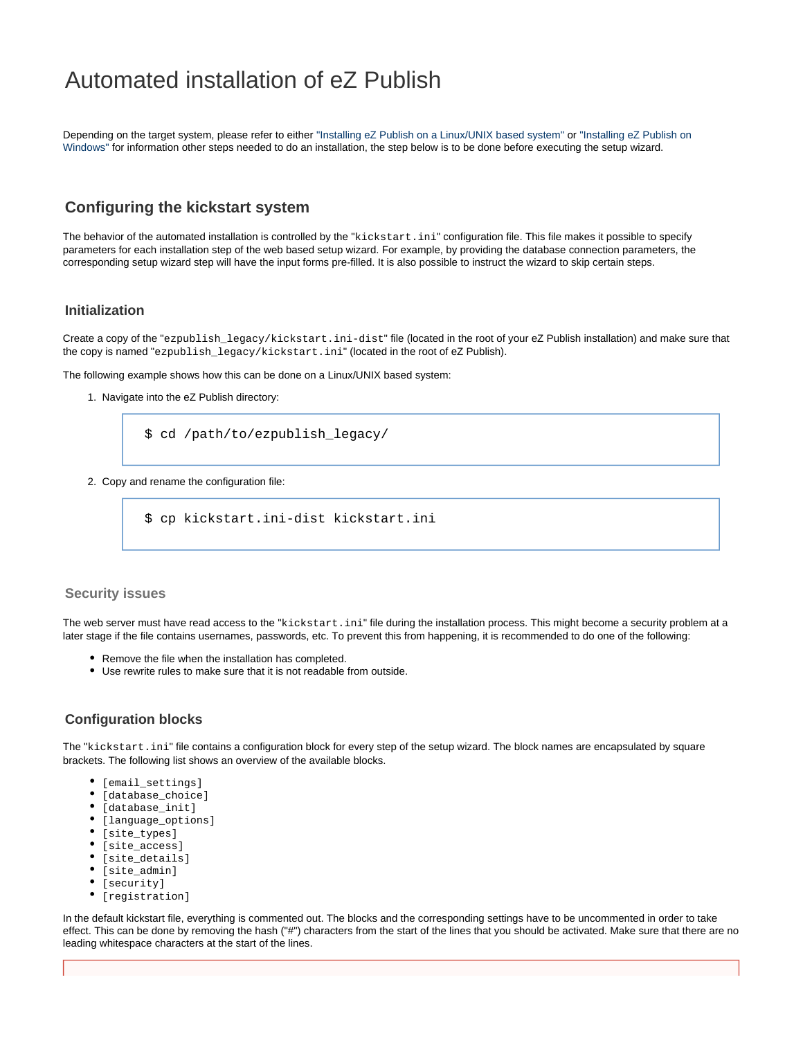# Automated installation of eZ Publish

Depending on the target system, please refer to either ["Installing eZ Publish on a Linux/UNIX based system"](https://doc.ez.no/display/EZP52/Installing+eZ+Publish+on+a+Linux-UNIX+based+system) or ["Installing eZ Publish on](https://doc.ez.no/display/EZP52/Installing+eZ+Publish+on+Windows) [Windows"](https://doc.ez.no/display/EZP52/Installing+eZ+Publish+on+Windows) for information other steps needed to do an installation, the step below is to be done before executing the setup wizard.

# **Configuring the kickstart system**

The behavior of the automated installation is controlled by the "kickstart.ini" configuration file. This file makes it possible to specify parameters for each installation step of the web based setup wizard. For example, by providing the database connection parameters, the corresponding setup wizard step will have the input forms pre-filled. It is also possible to instruct the wizard to skip certain steps.

## **Initialization**

Create a copy of the "ezpublish\_legacy/kickstart.ini-dist" file (located in the root of your eZ Publish installation) and make sure that the copy is named "ezpublish\_legacy/kickstart.ini" (located in the root of eZ Publish).

The following example shows how this can be done on a Linux/UNIX based system:

1. Navigate into the eZ Publish directory:

\$ cd /path/to/ezpublish\_legacy/

2. Copy and rename the configuration file:

\$ cp kickstart.ini-dist kickstart.ini

#### **Security issues**

The web server must have read access to the "kickstart.ini" file during the installation process. This might become a security problem at a later stage if the file contains usernames, passwords, etc. To prevent this from happening, it is recommended to do one of the following:

- Remove the file when the installation has completed.
- Use rewrite rules to make sure that it is not readable from outside.

#### **Configuration blocks**

The "kickstart.ini" file contains a configuration block for every step of the setup wizard. The block names are encapsulated by square brackets. The following list shows an overview of the available blocks.

- $\bullet$  [email\_settings]
- $\bullet$  [database\_choice]
- $\bullet$  [database\_init]
- [language\_options]
- $\bullet$  [site\_types]
- $\bullet$  [site\_access]
- $\bullet$  [site\_details]
- [site\_admin]
- $\bullet$  [security]
- $\bullet$  [registration]

In the default kickstart file, everything is commented out. The blocks and the corresponding settings have to be uncommented in order to take effect. This can be done by removing the hash ("#") characters from the start of the lines that you should be activated. Make sure that there are no leading whitespace characters at the start of the lines.